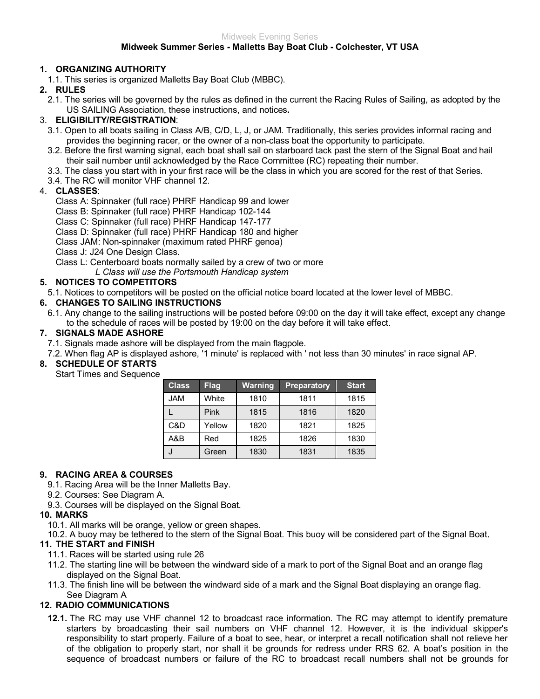#### **Midweek Summer Series - Malletts Bay Boat Club - Colchester, VT USA**

#### **1. ORGANIZING AUTHORITY**

1.1. This series is organized Malletts Bay Boat Club (MBBC).

# **2. RULES**

2.1. The series will be governed by the rules as defined in the current the Racing Rules of Sailing, as adopted by the US SAILING Association, these instructions, and notices**.**

## 3. **ELIGIBILITY/REGISTRATION**:

- 3.1. Open to all boats sailing in Class A/B, C/D, L, J, or JAM. Traditionally, this series provides informal racing and provides the beginning racer, or the owner of a non-class boat the opportunity to participate.
- 3.2. Before the first warning signal, each boat shall sail on starboard tack past the stern of the Signal Boat and hail their sail number until acknowledged by the Race Committee (RC) repeating their number.
- 3.3. The class you start with in your first race will be the class in which you are scored for the rest of that Series.
- 3.4. The RC will monitor VHF channel 12.

## 4. **CLASSES**:

- Class A: Spinnaker (full race) PHRF Handicap 99 and lower
- Class B: Spinnaker (full race) PHRF Handicap 102-144
- Class C: Spinnaker (full race) PHRF Handicap 147-177
- Class D: Spinnaker (full race) PHRF Handicap 180 and higher

Class JAM: Non-spinnaker (maximum rated PHRF genoa)

Class J: J24 One Design Class.

Class L: Centerboard boats normally sailed by a crew of two or more

*L Class will use the Portsmouth Handicap system*

## **5. NOTICES TO COMPETITORS**

5.1. Notices to competitors will be posted on the official notice board located at the lower level of MBBC.

## **6. CHANGES TO SAILING INSTRUCTIONS**

6.1. Any change to the sailing instructions will be posted before 09:00 on the day it will take effect, except any change to the schedule of races will be posted by 19:00 on the day before it will take effect.

## **7. SIGNALS MADE ASHORE**

7.1. Signals made ashore will be displayed from the main flagpole.

7.2. When flag AP is displayed ashore, '1 minute' is replaced with ' not less than 30 minutes' in race signal AP.

# **8. SCHEDULE OF STARTS**

Start Times and Sequence

| <b>Class</b> | <b>Flag</b> | <b>Warning</b> | <b>Preparatory</b> | <b>Start</b> |
|--------------|-------------|----------------|--------------------|--------------|
| <b>JAM</b>   | White       | 1810           | 1811               | 1815         |
|              | Pink        | 1815           | 1816               | 1820         |
| C&D          | Yellow      | 1820           | 1821               | 1825         |
| A&B          | Red         | 1825           | 1826               | 1830         |
| J            | Green       | 1830           | 1831               | 1835         |

#### **9. RACING AREA & COURSES**

- 9.1. Racing Area will be the Inner Malletts Bay.
- 9.2. Courses: See Diagram A.
- 9.3. Courses will be displayed on the Signal Boat.

#### **10. MARKS**

10.1. All marks will be orange, yellow or green shapes.

10.2. A buoy may be tethered to the stern of the Signal Boat. This buoy will be considered part of the Signal Boat.

#### **11. THE START and FINISH**

- 11.1. Races will be started using rule 26
- 11.2. The starting line will be between the windward side of a mark to port of the Signal Boat and an orange flag displayed on the Signal Boat.
- 11.3. The finish line will be between the windward side of a mark and the Signal Boat displaying an orange flag. See Diagram A

# **12. RADIO COMMUNICATIONS**

**12.1.** The RC may use VHF channel 12 to broadcast race information. The RC may attempt to identify premature starters by broadcasting their sail numbers on VHF channel 12. However, it is the individual skipper's responsibility to start properly. Failure of a boat to see, hear, or interpret a recall notification shall not relieve her of the obligation to properly start, nor shall it be grounds for redress under RRS 62. A boat's position in the sequence of broadcast numbers or failure of the RC to broadcast recall numbers shall not be grounds for